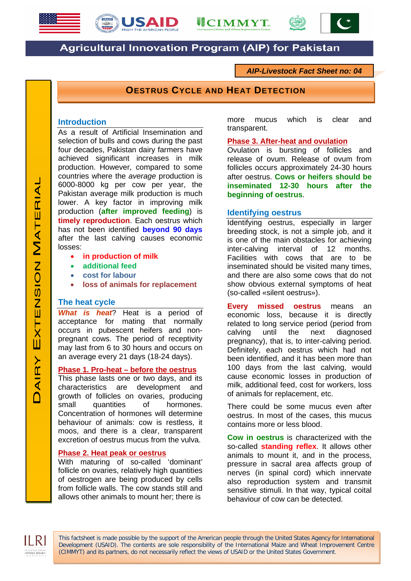





# **Agricultural Innovation Program (AIP) for Pakistan**

*AIP-Livestock Fact Sheet no: 04*

**OESTRUS CYCLE AND HEAT DETECTION**

### **Introduction**

As a result of Artificial Insemination and selection of bulls and cows during the past four decades, Pakistan dairy farmers have achieved significant increases in milk production. However, compared to some countries where the *average* production is 6000-8000 kg per cow per year, the Pakistan average milk production is much lower. A key factor in improving milk production (**after improved feeding**) is **timely reproduction**. Each oestrus which has not been identified **beyond 90 days** after the last calving causes economic losses:

- **in production of milk**
- **additional feed**
- **cost for labour**
- **loss of animals for replacement**

# **The heat cycle**

*What is heat*? Heat is a period of acceptance for mating that normally occurs in pubescent heifers and nonpregnant cows. The period of receptivity may last from 6 to 30 hours and occurs on an average every 21 days (18-24 days).

### **Phase 1. Pro-heat – before the oestrus**

This phase lasts one or two days, and its characteristics are development and growth of follicles on ovaries, producing small quantities of hormones. Concentration of hormones will determine behaviour of animals: cow is restless, it moos, and there is a clear, transparent excretion of oestrus mucus from the vulva.

#### **Phase 2. Heat peak or oestrus**

With maturing of so-called 'dominant' follicle on ovaries, relatively high quantities of oestrogen are being produced by cells from follicle walls. The cow stands still and allows other animals to mount her; there is

more mucus which is clear and transparent.

#### **Phase 3. After-heat and ovulation**

Ovulation is bursting of follicles and release of ovum. Release of ovum from follicles occurs approximately 24-30 hours after oestrus. **Cows or heifers should be inseminated 12-30 hours after the beginning of oestrus**.

### **Identifying oestrus**

Identifying oestrus, especially in larger breeding stock, is not a simple job, and it is one of the main obstacles for achieving<br>inter-calving interval of 12 months. interval of Facilities with cows that are to be inseminated should be visited many times, and there are also some cows that do not show obvious external symptoms of heat (so-called «silent oestrus»).

**Every missed oestrus** means an economic loss, because it is directly related to long service period (period from calving until the next diagnosed pregnancy), that is, to inter-calving period. Definitely, each oestrus which had not been identified, and it has been more than 100 days from the last calving, would cause economic losses in production of milk, additional feed, cost for workers, loss of animals for replacement, etc.

There could be some mucus even after oestrus. In most of the cases, this mucus contains more or less blood.

**Cow in oestrus** is characterized with the so-called **standing reflex**. It allows other animals to mount it, and in the process, pressure in sacral area affects group of nerves (in spinal cord) which innervate also reproduction system and transmit sensitive stimuli. In that way, typical coital behaviour of cow can be detected.

This factsheet is made possible by the support of the American people through the United States Agency for International Development (USAID). The contents are sole responsibility of the International Maize and Wheat Improvement Centre (CIMMYT) and its partners, do not necessarily reflect the views of USAID or the United States Government.